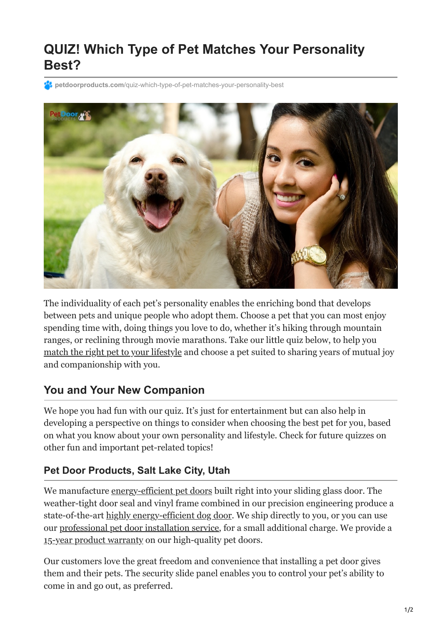## **QUIZ! Which Type of Pet Matches Your Personality Best?**

**24 petdoorproducts.com**[/quiz-which-type-of-pet-matches-your-personality-best](https://petdoorproducts.com/quiz-which-type-of-pet-matches-your-personality-best/)



The individuality of each pet's personality enables the enriching bond that develops between pets and unique people who adopt them. Choose a pet that you can most enjoy spending time with, doing things you love to do, whether it's hiking through mountain ranges, or reclining through movie marathons. Take our little quiz below, to help you [match the right pet to your lifestyle](https://www.humanesocietycentraltexas.org/adoption-tips) and choose a pet suited to sharing years of mutual joy and companionship with you.

## **You and Your New Companion**

We hope you had fun with our quiz. It's just for entertainment but can also help in developing a perspective on things to consider when choosing the best pet for you, based on what you know about your own personality and lifestyle. Check for future quizzes on other fun and important pet-related topics!

## **Pet Door Products, Salt Lake City, Utah**

We manufacture [energy-efficient pet doors](https://petdoorproducts.com/glass-options/) built right into your sliding glass door. The weather-tight door seal and vinyl frame combined in our precision engineering produce a state-of-the-art [highly energy-efficient dog door](https://petdoorproducts.com/how-it-works/). We ship directly to you, or you can use our [professional pet door installation service](https://petdoorproducts.com/professional-pet-door-installer-in-utah/), for a small additional charge. We provide a [15-year product warranty](https://petdoorproducts.com/warranty/) on our high-quality pet doors.

Our customers love the great freedom and convenience that installing a pet door gives them and their pets. The security slide panel enables you to control your pet's ability to come in and go out, as preferred.